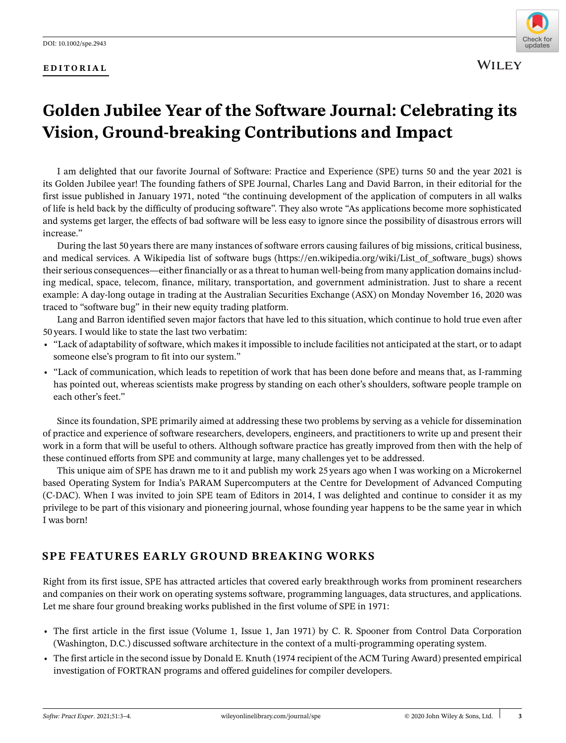#### **EDITORIAL**



**WILEY** 

# **Golden Jubilee Year of the Software Journal: Celebrating its Vision, Ground-breaking Contributions and Impact**

I am delighted that our favorite Journal of Software: Practice and Experience (SPE) turns 50 and the year 2021 is its Golden Jubilee year! The founding fathers of SPE Journal, Charles Lang and David Barron, in their editorial for the first issue published in January 1971, noted "the continuing development of the application of computers in all walks of life is held back by the difficulty of producing software". They also wrote "As applications become more sophisticated and systems get larger, the effects of bad software will be less easy to ignore since the possibility of disastrous errors will increase."

During the last 50 years there are many instances of software errors causing failures of big missions, critical business, and medical services. A Wikipedia list of software bugs (https://en.wikipedia.org/wiki/List of software bugs) shows their serious consequences—either financially or as a threat to human well-being from many application domains including medical, space, telecom, finance, military, transportation, and government administration. Just to share a recent example: A day-long outage in trading at the Australian Securities Exchange (ASX) on Monday November 16, 2020 was traced to "software bug" in their new equity trading platform.

Lang and Barron identified seven major factors that have led to this situation, which continue to hold true even after 50 years. I would like to state the last two verbatim:

- **•** "Lack of adaptability of software, which makes it impossible to include facilities not anticipated at the start, or to adapt someone else's program to fit into our system."
- **•** "Lack of communication, which leads to repetition of work that has been done before and means that, as I-ramming has pointed out, whereas scientists make progress by standing on each other's shoulders, software people trample on each other's feet."

Since its foundation, SPE primarily aimed at addressing these two problems by serving as a vehicle for dissemination of practice and experience of software researchers, developers, engineers, and practitioners to write up and present their work in a form that will be useful to others. Although software practice has greatly improved from then with the help of these continued efforts from SPE and community at large, many challenges yet to be addressed.

This unique aim of SPE has drawn me to it and publish my work 25 years ago when I was working on a Microkernel based Operating System for India's PARAM Supercomputers at the Centre for Development of Advanced Computing (C-DAC). When I was invited to join SPE team of Editors in 2014, I was delighted and continue to consider it as my privilege to be part of this visionary and pioneering journal, whose founding year happens to be the same year in which I was born!

## **SPE FEATURES EARLY GROUND BREAKING WORKS**

Right from its first issue, SPE has attracted articles that covered early breakthrough works from prominent researchers and companies on their work on operating systems software, programming languages, data structures, and applications. Let me share four ground breaking works published in the first volume of SPE in 1971:

- **•** The first article in the first issue (Volume 1, Issue 1, Jan 1971) by C. R. Spooner from Control Data Corporation (Washington, D.C.) discussed software architecture in the context of a multi-programming operating system.
- **•** The first article in the second issue by Donald E. Knuth (1974 recipient of the ACM Turing Award) presented empirical investigation of FORTRAN programs and offered guidelines for compiler developers.